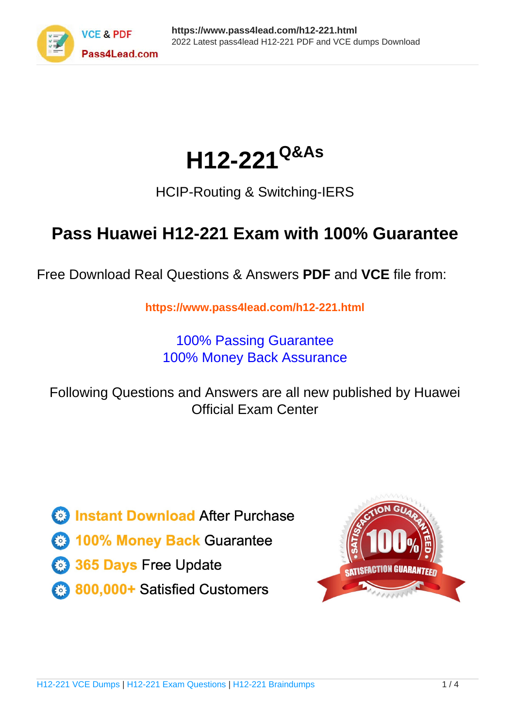

# **H12-221Q&As**

### HCIP-Routing & Switching-IERS

### **Pass Huawei H12-221 Exam with 100% Guarantee**

Free Download Real Questions & Answers **PDF** and **VCE** file from:

**https://www.pass4lead.com/h12-221.html**

100% Passing Guarantee 100% Money Back Assurance

Following Questions and Answers are all new published by Huawei Official Exam Center

**8 Instant Download After Purchase** 

**83 100% Money Back Guarantee** 

- 365 Days Free Update
- 800,000+ Satisfied Customers

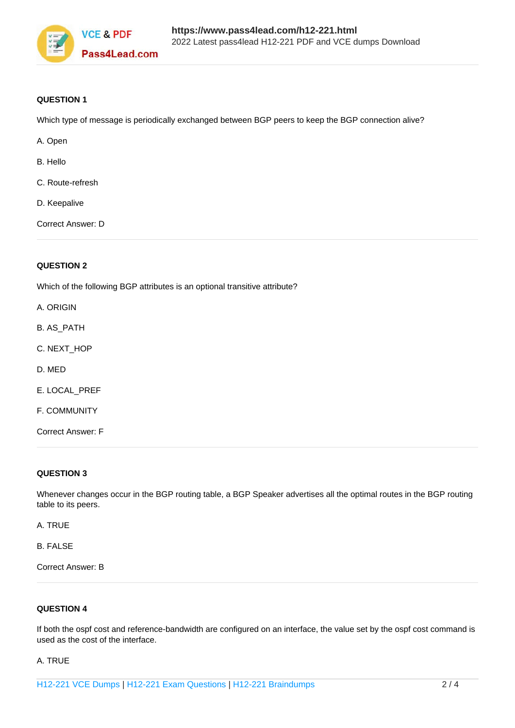

#### **QUESTION 1**

Which type of message is periodically exchanged between BGP peers to keep the BGP connection alive?

- A. Open
- B. Hello
- C. Route-refresh
- D. Keepalive

Correct Answer: D

#### **QUESTION 2**

Which of the following BGP attributes is an optional transitive attribute?

- A. ORIGIN
- B. AS\_PATH
- C. NEXT\_HOP
- D. MED
- E. LOCAL\_PREF
- F. COMMUNITY
- Correct Answer: F

#### **QUESTION 3**

Whenever changes occur in the BGP routing table, a BGP Speaker advertises all the optimal routes in the BGP routing table to its peers.

A. TRUE

B. FALSE

Correct Answer: B

#### **QUESTION 4**

If both the ospf cost and reference-bandwidth are configured on an interface, the value set by the ospf cost command is used as the cost of the interface.

#### A. TRUE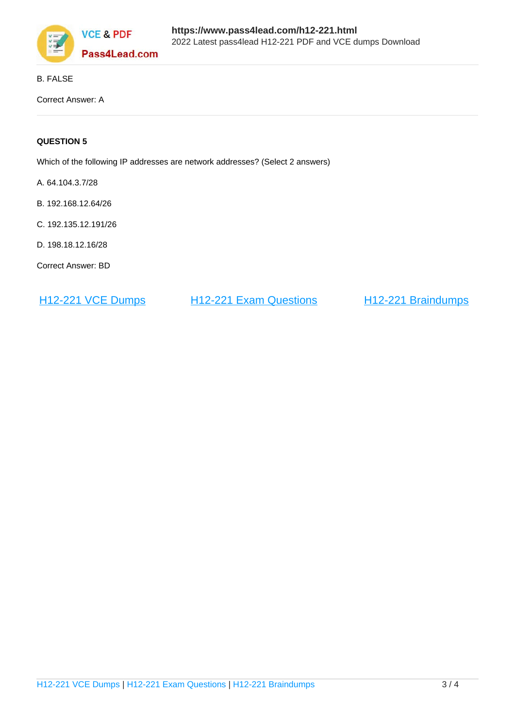

#### B. FALSE

Correct Answer: A

#### **QUESTION 5**

Which of the following IP addresses are network addresses? (Select 2 answers)

A. 64.104.3.7/28

- B. 192.168.12.64/26
- C. 192.135.12.191/26
- D. 198.18.12.16/28

Correct Answer: BD

H<sub>12</sub>-221 VCE Dumps H<sub>12</sub>-221 Exam Questions H<sub>12</sub>-221 Braindumps